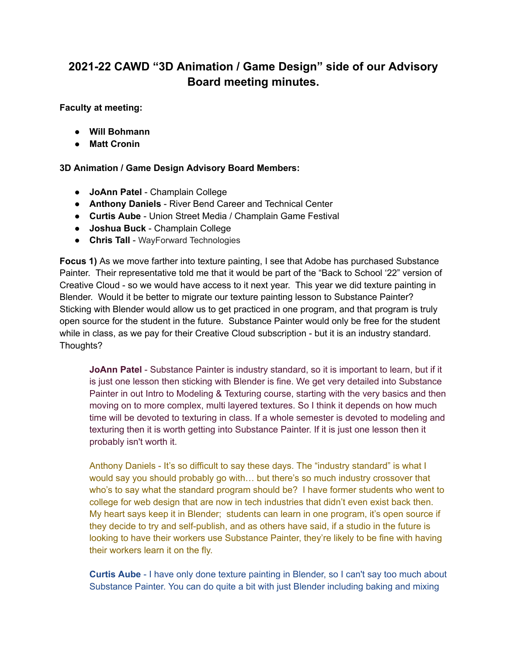## **2021-22 CAWD "3D Animation / Game Design" side of our Advisory Board meeting minutes.**

**Faculty at meeting:**

- **● Will Bohmann**
- **● Matt Cronin**

## **3D Animation / Game Design Advisory Board Members:**

- **JoAnn Patel** Champlain College
- **Anthony Daniels** River Bend Career and Technical Center
- **Curtis Aube** Union Street Media / Champlain Game Festival
- **Joshua Buck** Champlain College
- **Chris Tall** WayForward Technologies

**Focus 1)** As we move farther into texture painting, I see that Adobe has purchased Substance Painter. Their representative told me that it would be part of the "Back to School '22" version of Creative Cloud - so we would have access to it next year. This year we did texture painting in Blender. Would it be better to migrate our texture painting lesson to Substance Painter? Sticking with Blender would allow us to get practiced in one program, and that program is truly open source for the student in the future. Substance Painter would only be free for the student while in class, as we pay for their Creative Cloud subscription - but it is an industry standard. Thoughts?

**JoAnn Patel** - Substance Painter is industry standard, so it is important to learn, but if it is just one lesson then sticking with Blender is fine. We get very detailed into Substance Painter in out Intro to Modeling & Texturing course, starting with the very basics and then moving on to more complex, multi layered textures. So I think it depends on how much time will be devoted to texturing in class. If a whole semester is devoted to modeling and texturing then it is worth getting into Substance Painter. If it is just one lesson then it probably isn't worth it.

Anthony Daniels - It's so difficult to say these days. The "industry standard" is what I would say you should probably go with… but there's so much industry crossover that who's to say what the standard program should be? I have former students who went to college for web design that are now in tech industries that didn't even exist back then. My heart says keep it in Blender; students can learn in one program, it's open source if they decide to try and self-publish, and as others have said, if a studio in the future is looking to have their workers use Substance Painter, they're likely to be fine with having their workers learn it on the fly.

**Curtis Aube** - I have only done texture painting in Blender, so I can't say too much about Substance Painter. You can do quite a bit with just Blender including baking and mixing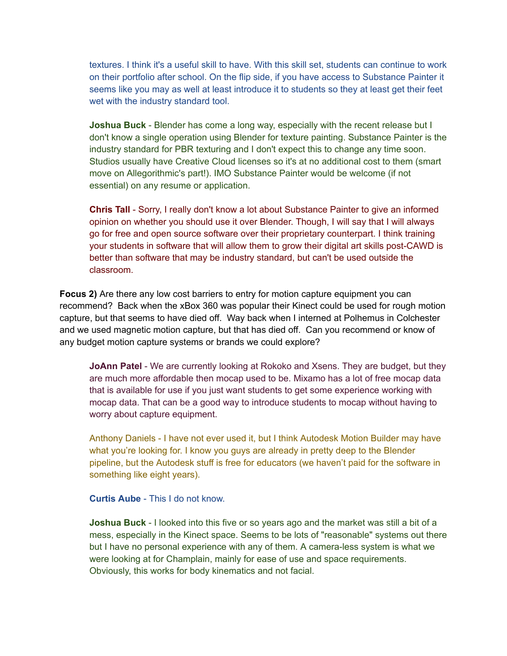textures. I think it's a useful skill to have. With this skill set, students can continue to work on their portfolio after school. On the flip side, if you have access to Substance Painter it seems like you may as well at least introduce it to students so they at least get their feet wet with the industry standard tool.

**Joshua Buck** - Blender has come a long way, especially with the recent release but I don't know a single operation using Blender for texture painting. Substance Painter is the industry standard for PBR texturing and I don't expect this to change any time soon. Studios usually have Creative Cloud licenses so it's at no additional cost to them (smart move on Allegorithmic's part!). IMO Substance Painter would be welcome (if not essential) on any resume or application.

**Chris Tall** - Sorry, I really don't know a lot about Substance Painter to give an informed opinion on whether you should use it over Blender. Though, I will say that I will always go for free and open source software over their proprietary counterpart. I think training your students in software that will allow them to grow their digital art skills post-CAWD is better than software that may be industry standard, but can't be used outside the classroom.

**Focus 2)** Are there any low cost barriers to entry for motion capture equipment you can recommend? Back when the xBox 360 was popular their Kinect could be used for rough motion capture, but that seems to have died off. Way back when I interned at Polhemus in Colchester and we used magnetic motion capture, but that has died off. Can you recommend or know of any budget motion capture systems or brands we could explore?

**JoAnn Patel** - We are currently looking at Rokoko and Xsens. They are budget, but they are much more affordable then mocap used to be. Mixamo has a lot of free mocap data that is available for use if you just want students to get some experience working with mocap data. That can be a good way to introduce students to mocap without having to worry about capture equipment.

Anthony Daniels - I have not ever used it, but I think Autodesk Motion Builder may have what you're looking for. I know you guys are already in pretty deep to the Blender pipeline, but the Autodesk stuff is free for educators (we haven't paid for the software in something like eight years).

**Curtis Aube** - This I do not know.

**Joshua Buck** - I looked into this five or so years ago and the market was still a bit of a mess, especially in the Kinect space. Seems to be lots of "reasonable" systems out there but I have no personal experience with any of them. A camera-less system is what we were looking at for Champlain, mainly for ease of use and space requirements. Obviously, this works for body kinematics and not facial.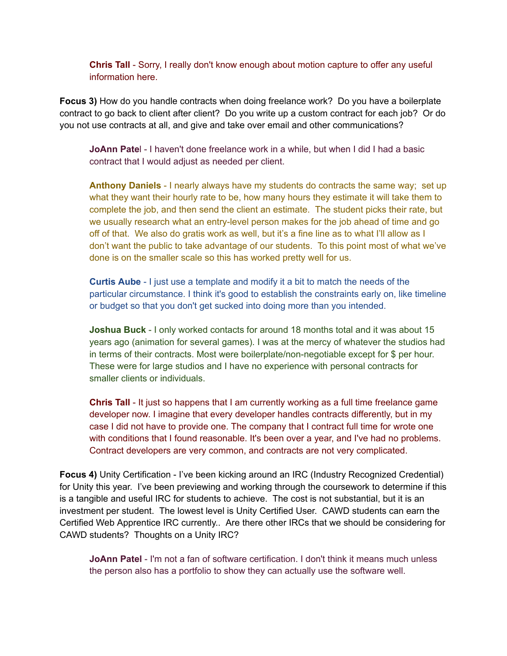**Chris Tall** - Sorry, I really don't know enough about motion capture to offer any useful information here.

**Focus 3)** How do you handle contracts when doing freelance work? Do you have a boilerplate contract to go back to client after client? Do you write up a custom contract for each job? Or do you not use contracts at all, and give and take over email and other communications?

**JoAnn Pate**l - I haven't done freelance work in a while, but when I did I had a basic contract that I would adjust as needed per client.

**Anthony Daniels** - I nearly always have my students do contracts the same way; set up what they want their hourly rate to be, how many hours they estimate it will take them to complete the job, and then send the client an estimate. The student picks their rate, but we usually research what an entry-level person makes for the job ahead of time and go off of that. We also do gratis work as well, but it's a fine line as to what I'll allow as I don't want the public to take advantage of our students. To this point most of what we've done is on the smaller scale so this has worked pretty well for us.

**Curtis Aube** - I just use a template and modify it a bit to match the needs of the particular circumstance. I think it's good to establish the constraints early on, like timeline or budget so that you don't get sucked into doing more than you intended.

**Joshua Buck** - I only worked contacts for around 18 months total and it was about 15 years ago (animation for several games). I was at the mercy of whatever the studios had in terms of their contracts. Most were boilerplate/non-negotiable except for \$ per hour. These were for large studios and I have no experience with personal contracts for smaller clients or individuals.

**Chris Tall** - It just so happens that I am currently working as a full time freelance game developer now. I imagine that every developer handles contracts differently, but in my case I did not have to provide one. The company that I contract full time for wrote one with conditions that I found reasonable. It's been over a year, and I've had no problems. Contract developers are very common, and contracts are not very complicated.

**Focus 4)** Unity Certification - I've been kicking around an IRC (Industry Recognized Credential) for Unity this year. I've been previewing and working through the coursework to determine if this is a tangible and useful IRC for students to achieve. The cost is not substantial, but it is an investment per student. The lowest level is Unity Certified User. CAWD students can earn the Certified Web Apprentice IRC currently.. Are there other IRCs that we should be considering for CAWD students? Thoughts on a Unity IRC?

**JoAnn Patel** - I'm not a fan of software certification. I don't think it means much unless the person also has a portfolio to show they can actually use the software well.